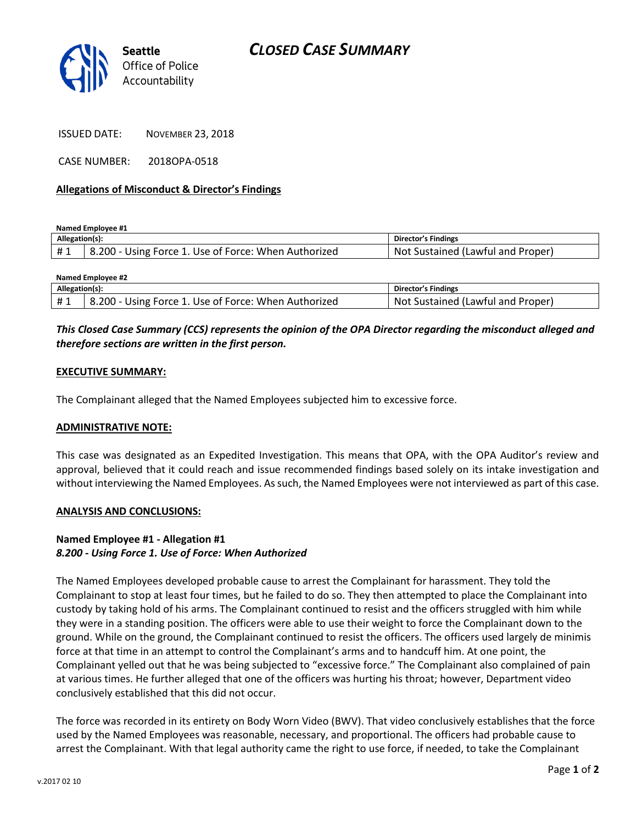

ISSUED DATE: NOVEMBER 23, 2018

CASE NUMBER: 2018OPA-0518

## **Allegations of Misconduct & Director's Findings**

**Named Employee #1**

| Allegation(s): |                                                      | Director's Findings               |
|----------------|------------------------------------------------------|-----------------------------------|
|                | 8.200 - Using Force 1. Use of Force: When Authorized | Not Sustained (Lawful and Proper) |

| <b>Named Employee #2</b> |                                                      |                                   |  |
|--------------------------|------------------------------------------------------|-----------------------------------|--|
| Allegation(s):           |                                                      | Director's Findings               |  |
| <b>H</b> 1               | 8.200 - Using Force 1. Use of Force: When Authorized | Not Sustained (Lawful and Proper) |  |

# *This Closed Case Summary (CCS) represents the opinion of the OPA Director regarding the misconduct alleged and therefore sections are written in the first person.*

## **EXECUTIVE SUMMARY:**

The Complainant alleged that the Named Employees subjected him to excessive force.

#### **ADMINISTRATIVE NOTE:**

This case was designated as an Expedited Investigation. This means that OPA, with the OPA Auditor's review and approval, believed that it could reach and issue recommended findings based solely on its intake investigation and without interviewing the Named Employees. As such, the Named Employees were not interviewed as part of this case.

#### **ANALYSIS AND CONCLUSIONS:**

## **Named Employee #1 - Allegation #1** *8.200 - Using Force 1. Use of Force: When Authorized*

The Named Employees developed probable cause to arrest the Complainant for harassment. They told the Complainant to stop at least four times, but he failed to do so. They then attempted to place the Complainant into custody by taking hold of his arms. The Complainant continued to resist and the officers struggled with him while they were in a standing position. The officers were able to use their weight to force the Complainant down to the ground. While on the ground, the Complainant continued to resist the officers. The officers used largely de minimis force at that time in an attempt to control the Complainant's arms and to handcuff him. At one point, the Complainant yelled out that he was being subjected to "excessive force." The Complainant also complained of pain at various times. He further alleged that one of the officers was hurting his throat; however, Department video conclusively established that this did not occur.

The force was recorded in its entirety on Body Worn Video (BWV). That video conclusively establishes that the force used by the Named Employees was reasonable, necessary, and proportional. The officers had probable cause to arrest the Complainant. With that legal authority came the right to use force, if needed, to take the Complainant